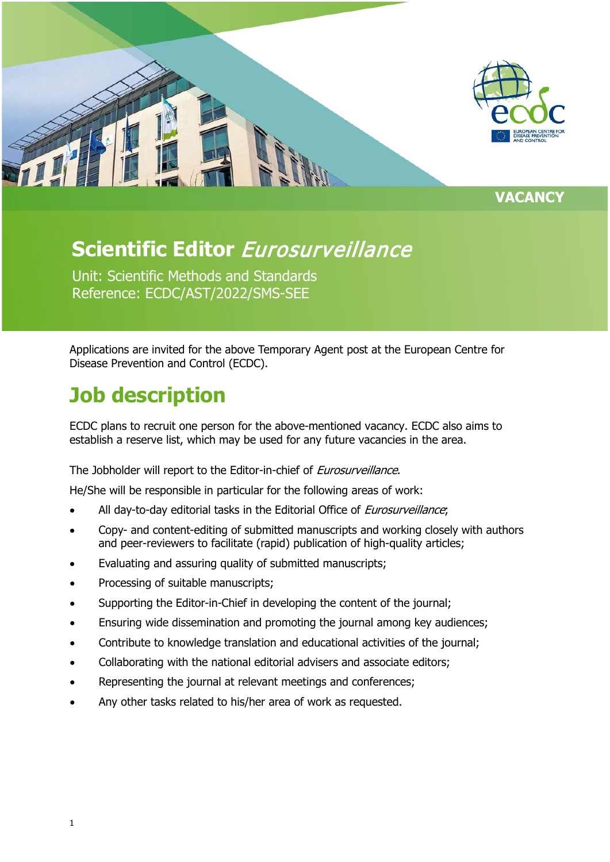

**VACANCY**

# **Scientific Editor** Eurosurveillance

Unit: Scientific Methods and Standards Reference: ECDC/AST/2022/SMS-SEE

Applications are invited for the above Temporary Agent post at the European Centre for Disease Prevention and Control (ECDC).

# **Job description**

ECDC plans to recruit one person for the above-mentioned vacancy. ECDC also aims to establish a reserve list, which may be used for any future vacancies in the area.

#### The Jobholder will report to the Editor-in-chief of *Eurosurveillance*.

He/She will be responsible in particular for the following areas of work:

- All day-to-day editorial tasks in the Editorial Office of Eurosurveillance;
- Copy- and content-editing of submitted manuscripts and working closely with authors and peer-reviewers to facilitate (rapid) publication of high-quality articles;
- Evaluating and assuring quality of submitted manuscripts;
- Processing of suitable manuscripts;
- Supporting the Editor-in-Chief in developing the content of the journal;
- Ensuring wide dissemination and promoting the journal among key audiences;
- Contribute to knowledge translation and educational activities of the journal;
- Collaborating with the national editorial advisers and associate editors;
- Representing the journal at relevant meetings and conferences;
- Any other tasks related to his/her area of work as requested.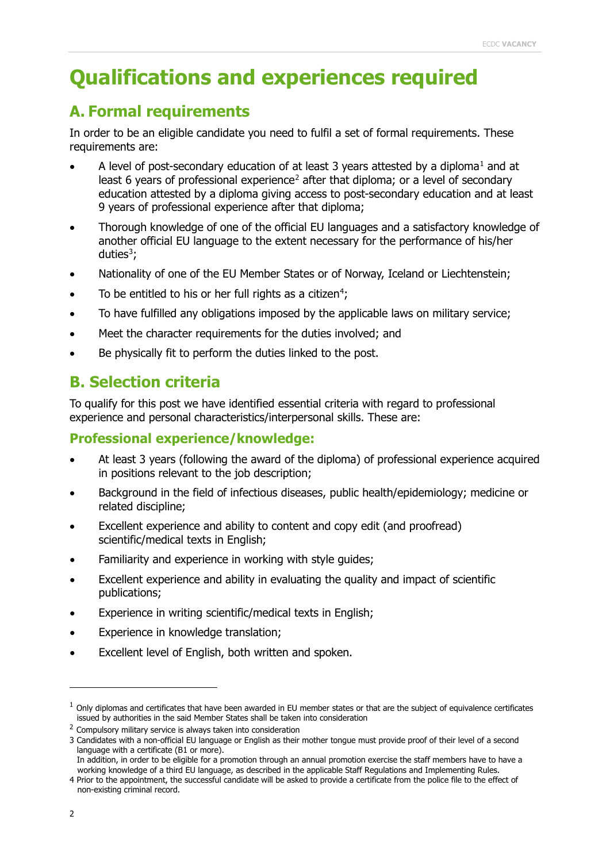## **Qualifications and experiences required**

### **A. Formal requirements**

In order to be an eligible candidate you need to fulfil a set of formal requirements. These requirements are:

- A level of post-secondary education of at least 3 years attested by a diploma<sup>[1](#page-1-0)</sup> and at least 6 years of professional experience<sup>[2](#page-1-1)</sup> after that diploma; or a level of secondary education attested by a diploma giving access to post-secondary education and at least 9 years of professional experience after that diploma;
- Thorough knowledge of one of the official EU languages and a satisfactory knowledge of another official EU language to the extent necessary for the performance of his/her duties<sup>[3](#page-1-2)</sup>;
- Nationality of one of the EU Member States or of Norway, Iceland or Liechtenstein;
- To be entitled to his or her full rights as a citizen<sup>[4](#page-1-3)</sup>;
- To have fulfilled any obligations imposed by the applicable laws on military service;
- Meet the character requirements for the duties involved; and
- Be physically fit to perform the duties linked to the post.

### **B. Selection criteria**

To qualify for this post we have identified essential criteria with regard to professional experience and personal characteristics/interpersonal skills. These are:

#### **Professional experience/knowledge:**

- At least 3 years (following the award of the diploma) of professional experience acquired in positions relevant to the job description;
- Background in the field of infectious diseases, public health/epidemiology; medicine or related discipline;
- Excellent experience and ability to content and copy edit (and proofread) scientific/medical texts in English;
- Familiarity and experience in working with style quides;
- Excellent experience and ability in evaluating the quality and impact of scientific publications;
- Experience in writing scientific/medical texts in English;
- Experience in knowledge translation;
- Excellent level of English, both written and spoken.

In addition, in order to be eligible for a promotion through an annual promotion exercise the staff members have to have a working knowledge of a third EU language, as described in the applicable Staff Regulations and Implementing Rules.

<span id="page-1-0"></span> $<sup>1</sup>$  Only diplomas and certificates that have been awarded in EU member states or that are the subject of equivalence certificates</sup> issued by authorities in the said Member States shall be taken into consideration

<span id="page-1-1"></span> $2$  Compulsory military service is always taken into consideration

<span id="page-1-2"></span><sup>3</sup> Candidates with a non-official EU language or English as their mother tongue must provide proof of their level of a second language with a certificate (B1 or more).

<span id="page-1-3"></span><sup>4</sup> Prior to the appointment, the successful candidate will be asked to provide a certificate from the police file to the effect of non-existing criminal record.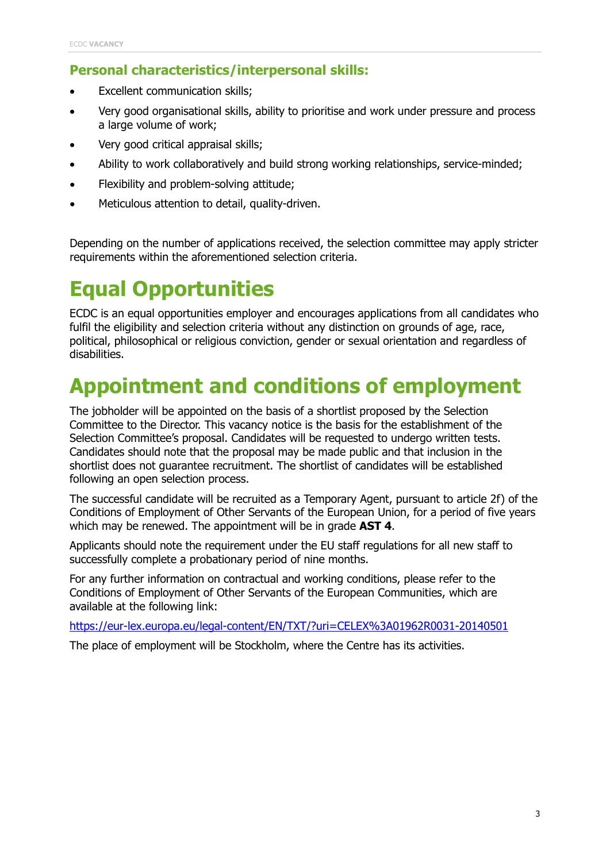### **Personal characteristics/interpersonal skills:**

- Excellent communication skills;
- Very good organisational skills, ability to prioritise and work under pressure and process a large volume of work;
- Very good critical appraisal skills;
- Ability to work collaboratively and build strong working relationships, service-minded;
- Flexibility and problem-solving attitude;
- Meticulous attention to detail, quality-driven.

Depending on the number of applications received, the selection committee may apply stricter requirements within the aforementioned selection criteria.

# **Equal Opportunities**

ECDC is an equal opportunities employer and encourages applications from all candidates who fulfil the eligibility and selection criteria without any distinction on grounds of age, race, political, philosophical or religious conviction, gender or sexual orientation and regardless of disabilities.

## **Appointment and conditions of employment**

The jobholder will be appointed on the basis of a shortlist proposed by the Selection Committee to the Director. This vacancy notice is the basis for the establishment of the Selection Committee's proposal. Candidates will be requested to undergo written tests. Candidates should note that the proposal may be made public and that inclusion in the shortlist does not guarantee recruitment. The shortlist of candidates will be established following an open selection process.

The successful candidate will be recruited as a Temporary Agent, pursuant to article 2f) of the Conditions of Employment of Other Servants of the European Union, for a period of five years which may be renewed. The appointment will be in grade **AST 4**.

Applicants should note the requirement under the EU staff regulations for all new staff to successfully complete a probationary period of nine months.

For any further information on contractual and working conditions, please refer to the Conditions of Employment of Other Servants of the European Communities, which are available at the following link:

<https://eur-lex.europa.eu/legal-content/EN/TXT/?uri=CELEX%3A01962R0031-20140501>

The place of employment will be Stockholm, where the Centre has its activities.